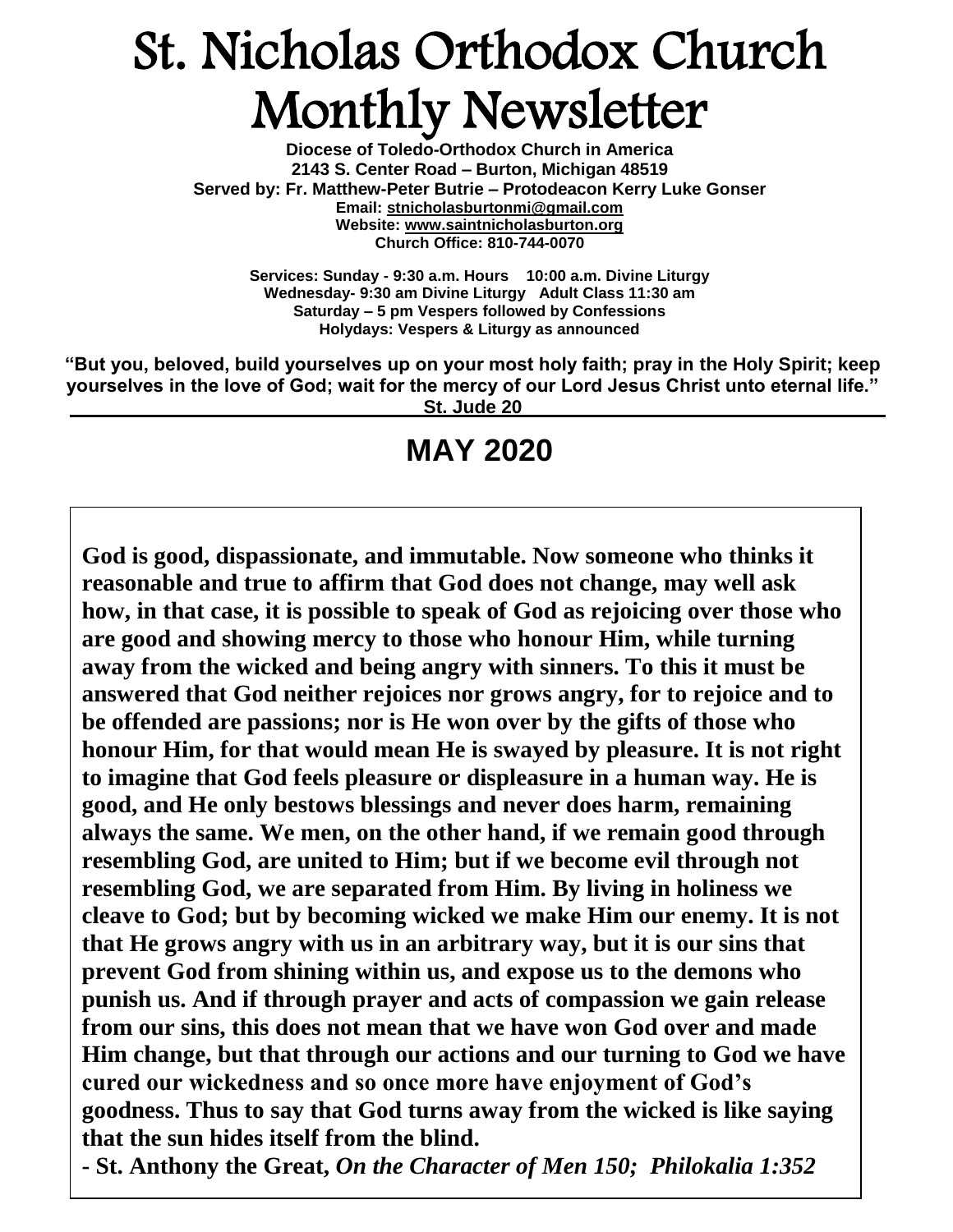# St. Nicholas Orthodox Church Monthly Newsletter

**Diocese of Toledo-Orthodox Church in America 2143 S. Center Road – Burton, Michigan 48519 Served by: Fr. Matthew-Peter Butrie – Protodeacon Kerry Luke Gonser Email: stnicholasburtonmi@gmail.com Website: [www.saintnicholasburton.org](http://www.saintnicholasburton.org/) Church Office: 810-744-0070** 

> **Services: Sunday - 9:30 a.m. Hours 10:00 a.m. Divine Liturgy Wednesday- 9:30 am Divine Liturgy Adult Class 11:30 am Saturday – 5 pm Vespers followed by Confessions Holydays: Vespers & Liturgy as announced**

**"But you, beloved, build yourselves up on your most holy faith; pray in the Holy Spirit; keep yourselves in the love of God; wait for the mercy of our Lord Jesus Christ unto eternal life." St. Jude 20**

## **MAY 2020**

**God is good, dispassionate, and immutable. Now someone who thinks it reasonable and true to affirm that God does not change, may well ask how, in that case, it is possible to speak of God as rejoicing over those who are good and showing mercy to those who honour Him, while turning away from the wicked and being angry with sinners. To this it must be answered that God neither rejoices nor grows angry, for to rejoice and to be offended are passions; nor is He won over by the gifts of those who honour Him, for that would mean He is swayed by pleasure. It is not right to imagine that God feels pleasure or displeasure in a human way. He is good, and He only bestows blessings and never does harm, remaining always the same. We men, on the other hand, if we remain good through resembling God, are united to Him; but if we become evil through not resembling God, we are separated from Him. By living in holiness we cleave to God; but by becoming wicked we make Him our enemy. It is not that He grows angry with us in an arbitrary way, but it is our sins that prevent God from shining within us, and expose us to the demons who punish us. And if through prayer and acts of compassion we gain release from our sins, this does not mean that we have won God over and made Him change, but that through our actions and our turning to God we have cured our wickedness and so once more have enjoyment of God's goodness. Thus to say that God turns away from the wicked is like saying that the sun hides itself from the blind.**

**- St. Anthony the Great,** *On the Character of Men 150; Philokalia 1:352*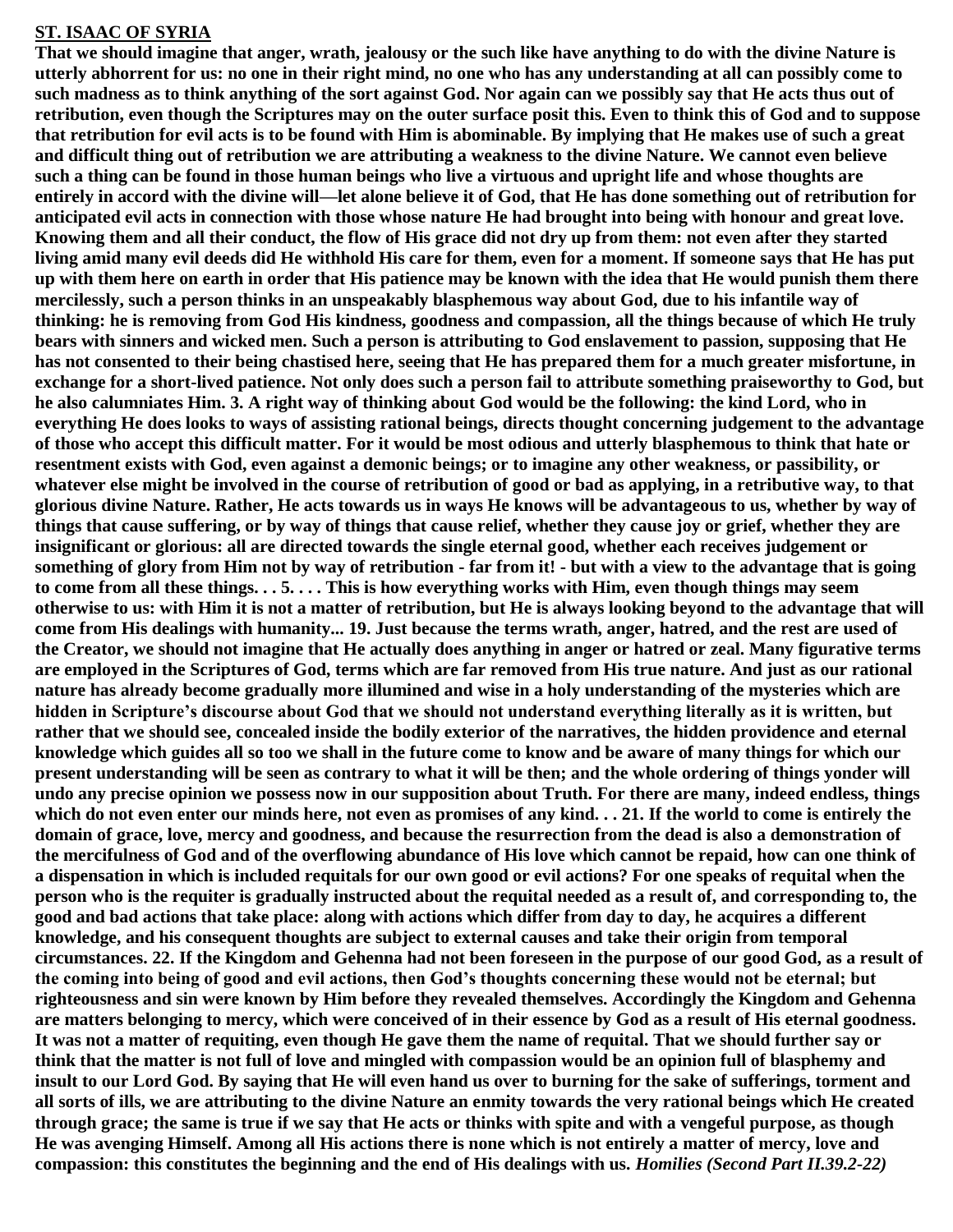#### **ST. ISAAC OF SYRIA**

**That we should imagine that anger, wrath, jealousy or the such like have anything to do with the divine Nature is utterly abhorrent for us: no one in their right mind, no one who has any understanding at all can possibly come to such madness as to think anything of the sort against God. Nor again can we possibly say that He acts thus out of retribution, even though the Scriptures may on the outer surface posit this. Even to think this of God and to suppose that retribution for evil acts is to be found with Him is abominable. By implying that He makes use of such a great and difficult thing out of retribution we are attributing a weakness to the divine Nature. We cannot even believe such a thing can be found in those human beings who live a virtuous and upright life and whose thoughts are entirely in accord with the divine will—let alone believe it of God, that He has done something out of retribution for anticipated evil acts in connection with those whose nature He had brought into being with honour and great love. Knowing them and all their conduct, the flow of His grace did not dry up from them: not even after they started living amid many evil deeds did He withhold His care for them, even for a moment. If someone says that He has put up with them here on earth in order that His patience may be known with the idea that He would punish them there mercilessly, such a person thinks in an unspeakably blasphemous way about God, due to his infantile way of thinking: he is removing from God His kindness, goodness and compassion, all the things because of which He truly bears with sinners and wicked men. Such a person is attributing to God enslavement to passion, supposing that He has not consented to their being chastised here, seeing that He has prepared them for a much greater misfortune, in exchange for a short-lived patience. Not only does such a person fail to attribute something praiseworthy to God, but he also calumniates Him. 3. A right way of thinking about God would be the following: the kind Lord, who in everything He does looks to ways of assisting rational beings, directs thought concerning judgement to the advantage of those who accept this difficult matter. For it would be most odious and utterly blasphemous to think that hate or resentment exists with God, even against a demonic beings; or to imagine any other weakness, or passibility, or whatever else might be involved in the course of retribution of good or bad as applying, in a retributive way, to that glorious divine Nature. Rather, He acts towards us in ways He knows will be advantageous to us, whether by way of things that cause suffering, or by way of things that cause relief, whether they cause joy or grief, whether they are insignificant or glorious: all are directed towards the single eternal good, whether each receives judgement or something of glory from Him not by way of retribution - far from it! - but with a view to the advantage that is going to come from all these things. . . 5. . . . This is how everything works with Him, even though things may seem otherwise to us: with Him it is not a matter of retribution, but He is always looking beyond to the advantage that will come from His dealings with humanity... 19. Just because the terms wrath, anger, hatred, and the rest are used of the Creator, we should not imagine that He actually does anything in anger or hatred or zeal. Many figurative terms are employed in the Scriptures of God, terms which are far removed from His true nature. And just as our rational nature has already become gradually more illumined and wise in a holy understanding of the mysteries which are hidden in Scripture's discourse about God that we should not understand everything literally as it is written, but rather that we should see, concealed inside the bodily exterior of the narratives, the hidden providence and eternal knowledge which guides all so too we shall in the future come to know and be aware of many things for which our present understanding will be seen as contrary to what it will be then; and the whole ordering of things yonder will undo any precise opinion we possess now in our supposition about Truth. For there are many, indeed endless, things which do not even enter our minds here, not even as promises of any kind. . . 21. If the world to come is entirely the domain of grace, love, mercy and goodness, and because the resurrection from the dead is also a demonstration of the mercifulness of God and of the overflowing abundance of His love which cannot be repaid, how can one think of a dispensation in which is included requitals for our own good or evil actions? For one speaks of requital when the person who is the requiter is gradually instructed about the requital needed as a result of, and corresponding to, the good and bad actions that take place: along with actions which differ from day to day, he acquires a different knowledge, and his consequent thoughts are subject to external causes and take their origin from temporal circumstances. 22. If the Kingdom and Gehenna had not been foreseen in the purpose of our good God, as a result of the coming into being of good and evil actions, then God's thoughts concerning these would not be eternal; but righteousness and sin were known by Him before they revealed themselves. Accordingly the Kingdom and Gehenna are matters belonging to mercy, which were conceived of in their essence by God as a result of His eternal goodness. It was not a matter of requiting, even though He gave them the name of requital. That we should further say or think that the matter is not full of love and mingled with compassion would be an opinion full of blasphemy and insult to our Lord God. By saying that He will even hand us over to burning for the sake of sufferings, torment and all sorts of ills, we are attributing to the divine Nature an enmity towards the very rational beings which He created through grace; the same is true if we say that He acts or thinks with spite and with a vengeful purpose, as though He was avenging Himself. Among all His actions there is none which is not entirely a matter of mercy, love and compassion: this constitutes the beginning and the end of His dealings with us.** *Homilies [\(Second Part](http://www.amazon.com/gp/product/9068317091/ref=as_li_qf_sp_asin_il_tl?ie=UTF8&camp=1789&creative=9325&creativeASIN=9068317091&linkCode=as2&tag=eclectorthod-20&linkId=Y2IKB3GQDNGTSW6T) II.39.2-22)*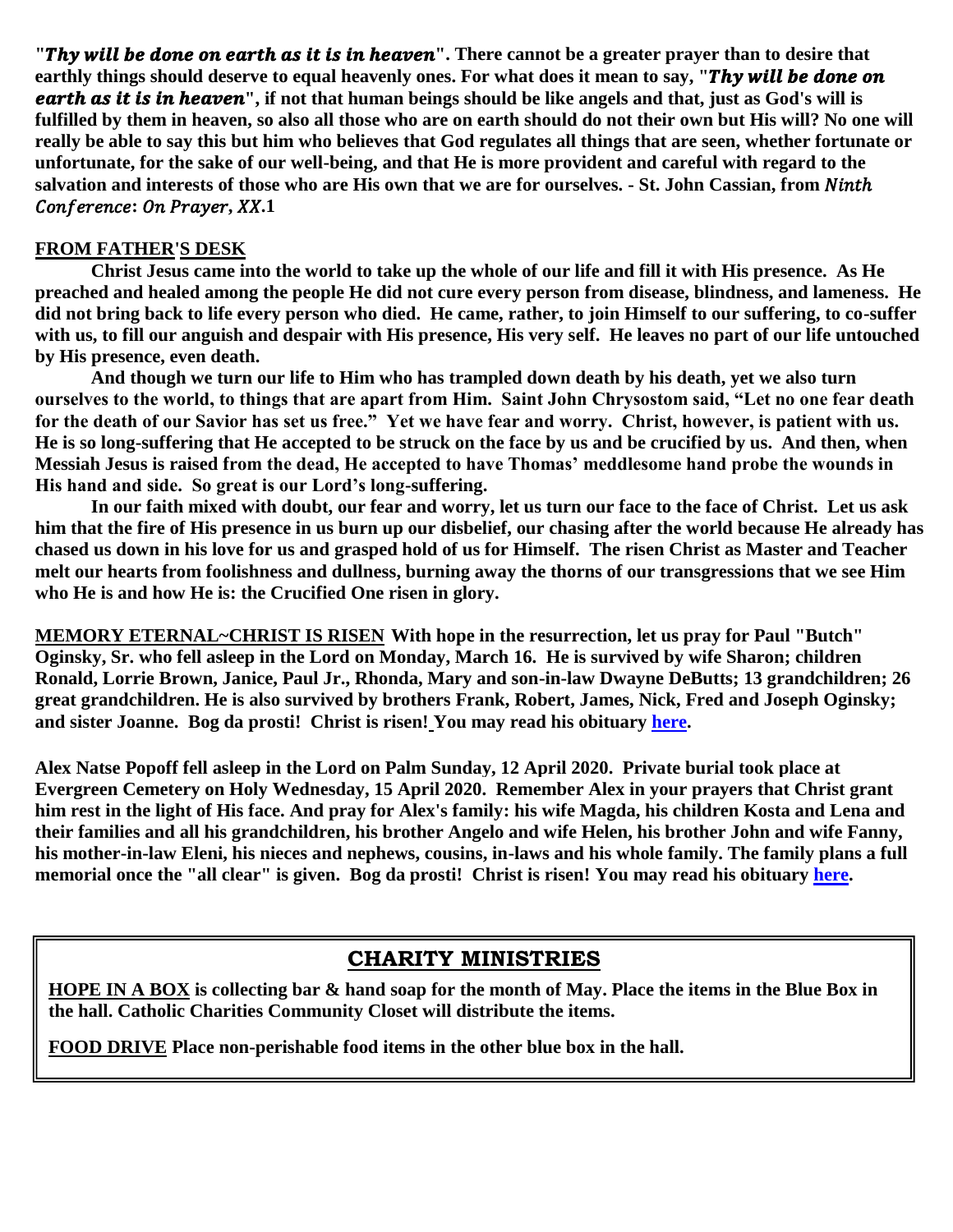**"Thy will be done on earth as it is in heaven".** There cannot be a greater prayer than to desire that earthly things should deserve to equal heavenly ones. For what does it mean to say, "Thy will be done on **earth as it is in heaven**", if not that human beings should be like angels and that, just as God's will is **fulfilled by them in heaven, so also all those who are on earth should do not their own but His will? No one will really be able to say this but him who believes that God regulates all things that are seen, whether fortunate or unfortunate, for the sake of our well-being, and that He is more provident and careful with regard to the**  salvation and interests of those who are His own that we are for ourselves. - St. John Cassian, from Ninth Conference: On Prayer, XX.1

#### **FROM FATHER'S DESK**

**Christ Jesus came into the world to take up the whole of our life and fill it with His presence. As He preached and healed among the people He did not cure every person from disease, blindness, and lameness. He did not bring back to life every person who died. He came, rather, to join Himself to our suffering, to co-suffer with us, to fill our anguish and despair with His presence, His very self. He leaves no part of our life untouched by His presence, even death.**

**And though we turn our life to Him who has trampled down death by his death, yet we also turn ourselves to the world, to things that are apart from Him. Saint John Chrysostom said, "Let no one fear death for the death of our Savior has set us free." Yet we have fear and worry. Christ, however, is patient with us. He is so long-suffering that He accepted to be struck on the face by us and be crucified by us. And then, when Messiah Jesus is raised from the dead, He accepted to have Thomas' meddlesome hand probe the wounds in His hand and side. So great is our Lord's long-suffering.**

**In our faith mixed with doubt, our fear and worry, let us turn our face to the face of Christ. Let us ask him that the fire of His presence in us burn up our disbelief, our chasing after the world because He already has chased us down in his love for us and grasped hold of us for Himself. The risen Christ as Master and Teacher melt our hearts from foolishness and dullness, burning away the thorns of our transgressions that we see Him who He is and how He is: the Crucified One risen in glory.**

**MEMORY ETERNAL~CHRIST IS RISEN With hope in the resurrection, let us pray for Paul "Butch" Oginsky, Sr. who fell asleep in the Lord on Monday, March 16. He is survived by wife Sharon; children Ronald, Lorrie Brown, Janice, Paul Jr., Rhonda, Mary and son-in-law Dwayne DeButts; 13 grandchildren; 26 great grandchildren. He is also survived by brothers Frank, Robert, James, Nick, Fred and Joseph Oginsky; and sister Joanne. Bog da prosti! Christ is risen! You may read his obituary [here.](https://www.swartzfuneralhomeinc.com/obituary/paul-obinsky)**

**Alex Natse Popoff fell asleep in the Lord on Palm Sunday, 12 April 2020. Private burial took place at Evergreen Cemetery on Holy Wednesday, 15 April 2020. Remember Alex in your prayers that Christ grant him rest in the light of His face. And pray for Alex's family: his wife Magda, his children Kosta and Lena and their families and all his grandchildren, his brother Angelo and wife Helen, his brother John and wife Fanny, his mother-in-law Eleni, his nieces and nephews, cousins, in-laws and his whole family. The family plans a full memorial once the "all clear" is given. Bog da prosti! Christ is risen! You may read his obituary [here.](https://www.swartzfuneralhomeinc.com/obituary/alex-popoff)**

#### **CHARITY MINISTRIES**

**HOPE IN A BOX is collecting bar & hand soap for the month of May. Place the items in the Blue Box in the hall. Catholic Charities Community Closet will distribute the items.**

**FOOD DRIVE Place non-perishable food items in the other blue box in the hall.**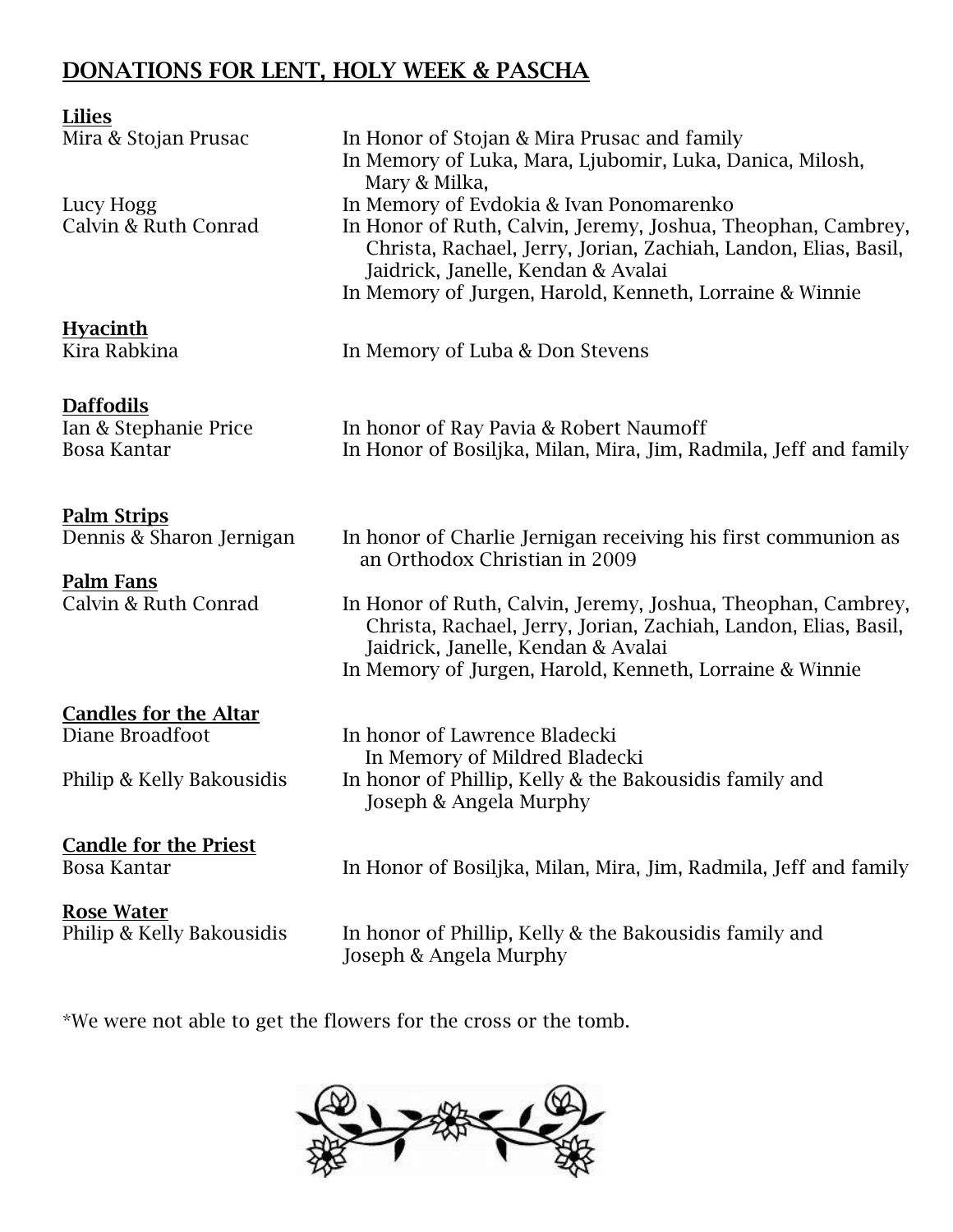## **DONATIONS FOR LENT, HOLY WEEK & PASCHA**

| Lilies                                                          |                                                                                                                                                                                                                                                                             |
|-----------------------------------------------------------------|-----------------------------------------------------------------------------------------------------------------------------------------------------------------------------------------------------------------------------------------------------------------------------|
| Mira & Stojan Prusac                                            | In Honor of Stojan & Mira Prusac and family<br>In Memory of Luka, Mara, Ljubomir, Luka, Danica, Milosh,<br>Mary & Milka,                                                                                                                                                    |
| Lucy Hogg<br>Calvin & Ruth Conrad                               | In Memory of Evdokia & Ivan Ponomarenko<br>In Honor of Ruth, Calvin, Jeremy, Joshua, Theophan, Cambrey,<br>Christa, Rachael, Jerry, Jorian, Zachiah, Landon, Elias, Basil,<br>Jaidrick, Janelle, Kendan & Avalai<br>In Memory of Jurgen, Harold, Kenneth, Lorraine & Winnie |
| <b>Hyacinth</b><br>Kira Rabkina                                 | In Memory of Luba & Don Stevens                                                                                                                                                                                                                                             |
| <b>Daffodils</b><br>Ian & Stephanie Price<br><b>Bosa Kantar</b> | In honor of Ray Pavia & Robert Naumoff<br>In Honor of Bosiljka, Milan, Mira, Jim, Radmila, Jeff and family                                                                                                                                                                  |
| <b>Palm Strips</b><br>Dennis & Sharon Jernigan                  | In honor of Charlie Jernigan receiving his first communion as<br>an Orthodox Christian in 2009                                                                                                                                                                              |
| <b>Palm Fans</b><br>Calvin & Ruth Conrad                        | In Honor of Ruth, Calvin, Jeremy, Joshua, Theophan, Cambrey,<br>Christa, Rachael, Jerry, Jorian, Zachiah, Landon, Elias, Basil,<br>Jaidrick, Janelle, Kendan & Avalai<br>In Memory of Jurgen, Harold, Kenneth, Lorraine & Winnie                                            |
| <b>Candles for the Altar</b>                                    |                                                                                                                                                                                                                                                                             |
| Diane Broadfoot                                                 | In honor of Lawrence Bladecki                                                                                                                                                                                                                                               |
| Philip & Kelly Bakousidis                                       | In Memory of Mildred Bladecki<br>In honor of Phillip, Kelly & the Bakousidis family and<br>Joseph & Angela Murphy                                                                                                                                                           |
| <b>Candle for the Priest</b><br><b>Bosa Kantar</b>              | In Honor of Bosiljka, Milan, Mira, Jim, Radmila, Jeff and family                                                                                                                                                                                                            |
| <b>Rose Water</b>                                               |                                                                                                                                                                                                                                                                             |

Philip & Kelly Bakousidis In honor of Phillip, Kelly & the Bakousidis family and Joseph & Angela Murphy

\*We were not able to get the flowers for the cross or the tomb.

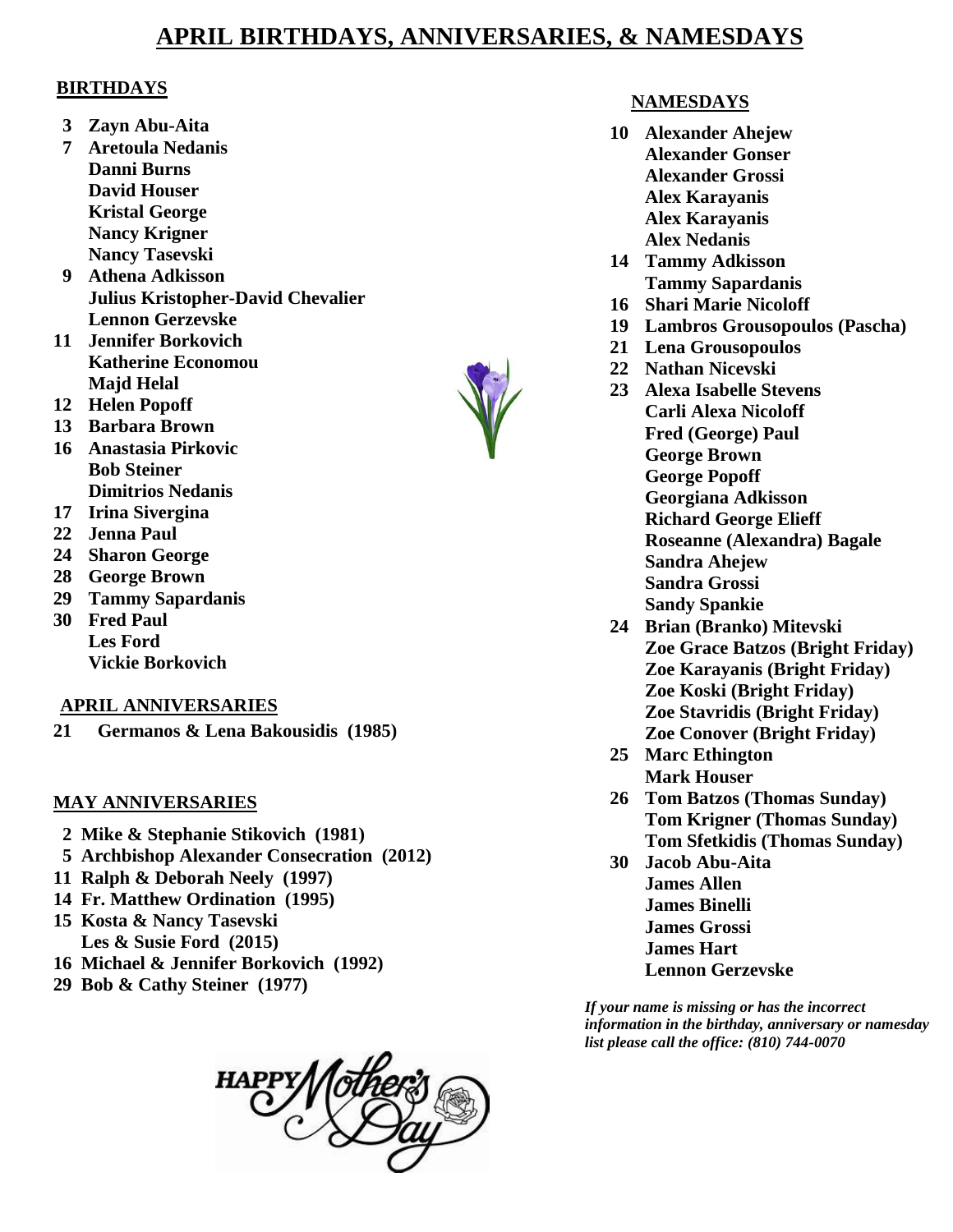## **APRIL BIRTHDAYS, ANNIVERSARIES, & NAMESDAYS**

#### **BIRTHDAYS**

- **3 Zayn Abu-Aita**
- **7 Aretoula Nedanis Danni Burns David Houser Kristal George Nancy Krigner Nancy Tasevski**
- **9 Athena Adkisson Julius Kristopher-David Chevalier Lennon Gerzevske**
- **11 Jennifer Borkovich Katherine Economou Majd Helal**
- **12 Helen Popoff**
- **13 Barbara Brown**
- **16 Anastasia Pirkovic Bob Steiner Dimitrios Nedanis**
- **17 Irina Sivergina**
- **22 Jenna Paul**
- **24 Sharon George**
- **28 George Brown**
- **29 Tammy Sapardanis**
- **30 Fred Paul Les Ford Vickie Borkovich**

#### **APRIL ANNIVERSARIES**

**21 Germanos & Lena Bakousidis (1985)**

#### **MAY ANNIVERSARIES**

- **2 Mike & Stephanie Stikovich (1981)**
- **5 Archbishop Alexander Consecration (2012)**
- **11 Ralph & Deborah Neely (1997)**
- **14 Fr. Matthew Ordination (1995)**
- **15 Kosta & Nancy Tasevski Les & Susie Ford (2015)**
- **16 Michael & Jennifer Borkovich (1992)**
- **29 Bob & Cathy Steiner (1977)**



#### **NAMESDAYS**

- **10 Alexander Ahejew Alexander Gonser Alexander Grossi Alex Karayanis Alex Karayanis Alex Nedanis**
- **14 Tammy Adkisson Tammy Sapardanis**
- **16 Shari Marie Nicoloff**
- **19 Lambros Grousopoulos (Pascha)**
- **21 Lena Grousopoulos**
- **22 Nathan Nicevski**
- **23 Alexa Isabelle Stevens Carli Alexa Nicoloff Fred (George) Paul George Brown George Popoff Georgiana Adkisson Richard George Elieff Roseanne (Alexandra) Bagale Sandra Ahejew Sandra Grossi Sandy Spankie**
- **24 Brian (Branko) Mitevski Zoe Grace Batzos (Bright Friday) Zoe Karayanis (Bright Friday) Zoe Koski (Bright Friday) Zoe Stavridis (Bright Friday) Zoe Conover (Bright Friday)**
- **25 Marc Ethington Mark Houser**
- **26 Tom Batzos (Thomas Sunday) Tom Krigner (Thomas Sunday) Tom Sfetkidis (Thomas Sunday)**
- **30 Jacob Abu-Aita James Allen James Binelli James Grossi James Hart Lennon Gerzevske**

*If your name is missing or has the incorrect information in the birthday, anniversary or namesday list please call the office: (810) 744-0070*

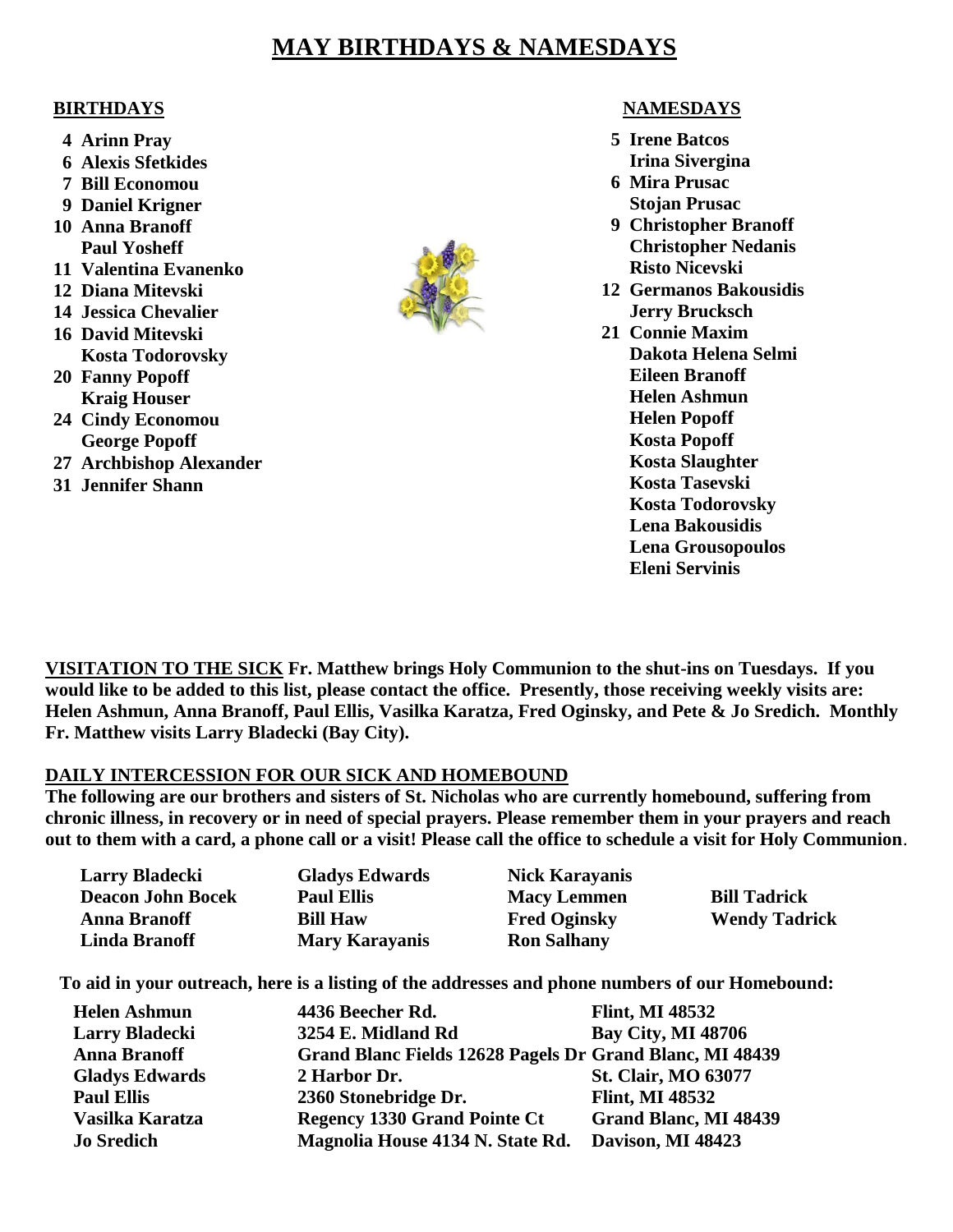### **MAY BIRTHDAYS & NAMESDAYS**

#### **BIRTHDAYS**

- **4 Arinn Pray**
- **6 Alexis Sfetkides**
- **7 Bill Economou**
- **9 Daniel Krigner**
- **10 Anna Branoff Paul Yosheff**
- **11 Valentina Evanenko**
- **12 Diana Mitevski**
- **14 Jessica Chevalier**
- **16 David Mitevski Kosta Todorovsky**
- **20 Fanny Popoff Kraig Houser**
- **24 Cindy Economou George Popoff**
- **27 Archbishop Alexander**
- **31 Jennifer Shann**



#### **NAMESDAYS**

- **5 Irene Batcos Irina Sivergina**
- **6 Mira Prusac Stojan Prusac**
- **9 Christopher Branoff Christopher Nedanis Risto Nicevski**
- **12 Germanos Bakousidis Jerry Brucksch**
- **21 Connie Maxim Dakota Helena Selmi Eileen Branoff Helen Ashmun Helen Popoff Kosta Popoff Kosta Slaughter Kosta Tasevski Kosta Todorovsky Lena Bakousidis Lena Grousopoulos Eleni Servinis**

**VISITATION TO THE SICK Fr. Matthew brings Holy Communion to the shut-ins on Tuesdays. If you would like to be added to this list, please contact the office. Presently, those receiving weekly visits are: Helen Ashmun, Anna Branoff, Paul Ellis, Vasilka Karatza, Fred Oginsky, and Pete & Jo Sredich. Monthly Fr. Matthew visits Larry Bladecki (Bay City).**

#### **DAILY INTERCESSION FOR OUR SICK AND HOMEBOUND**

**The following are our brothers and sisters of St. Nicholas who are currently homebound, suffering from chronic illness, in recovery or in need of special prayers. Please remember them in your prayers and reach out to them with a card, a phone call or a visit! Please call the office to schedule a visit for Holy Communion**.

| <b>Larry Bladecki</b>    | <b>Gladys Edwards</b> | <b>Nick Karayanis</b> |                      |
|--------------------------|-----------------------|-----------------------|----------------------|
| <b>Deacon John Bocek</b> | <b>Paul Ellis</b>     | <b>Macy Lemmen</b>    | <b>Bill Tadrick</b>  |
| <b>Anna Branoff</b>      | <b>Bill Haw</b>       | <b>Fred Oginsky</b>   | <b>Wendy Tadrick</b> |
| <b>Linda Branoff</b>     | <b>Mary Karayanis</b> | <b>Ron Salhany</b>    |                      |

**To aid in your outreach, here is a listing of the addresses and phone numbers of our Homebound:**

| <b>Helen Ashmun</b>   | 4436 Beecher Rd.                                         | <b>Flint, MI 48532</b>     |
|-----------------------|----------------------------------------------------------|----------------------------|
| <b>Larry Bladecki</b> | 3254 E. Midland Rd                                       | <b>Bay City, MI 48706</b>  |
| <b>Anna Branoff</b>   | Grand Blanc Fields 12628 Pagels Dr Grand Blanc, MI 48439 |                            |
| <b>Gladys Edwards</b> | 2 Harbor Dr.                                             | <b>St. Clair, MO 63077</b> |
| <b>Paul Ellis</b>     | 2360 Stonebridge Dr.                                     | <b>Flint, MI 48532</b>     |
| Vasilka Karatza       | <b>Regency 1330 Grand Pointe Ct</b>                      | Grand Blanc, MI 48439      |
| <b>Jo Sredich</b>     | Magnolia House 4134 N. State Rd.                         | Davison, MI 48423          |